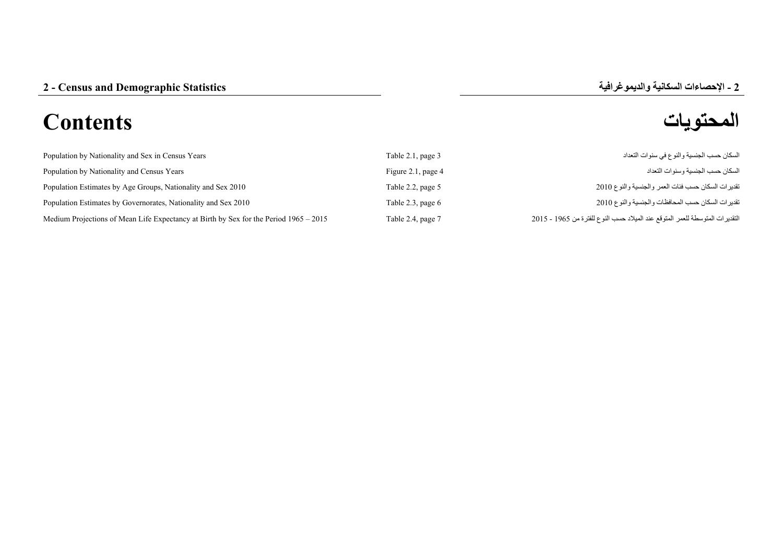## **المحتويات Contents**



| Population by Nationality and Sex in Census Years                                     | Table 2.1, page 3    | السكان حسب الجنسية والنوع في سنوات التعداد                                   |
|---------------------------------------------------------------------------------------|----------------------|------------------------------------------------------------------------------|
| Population by Nationality and Census Years                                            | Figure 2.1, page $4$ | السكان حسب الجنسية وسنو ات التعداد                                           |
| Population Estimates by Age Groups, Nationality and Sex 2010                          | Table 2.2, page 5    | تقدير ات السكان حسب فئات العمر والجنسية والنوع 2010                          |
| Population Estimates by Governorates, Nationality and Sex 2010                        | Table 2.3, page $6$  | تقدير ات السكان حسب المحافظات والجنسية والنوع 2010                           |
| Medium Projections of Mean Life Expectancy at Birth by Sex for the Period 1965 – 2015 | Table 2.4, page 7    | التقديرات المتوسطة للعمر المتوقع عند الميلاد حسب النوع للفترة من 1965 - 2015 |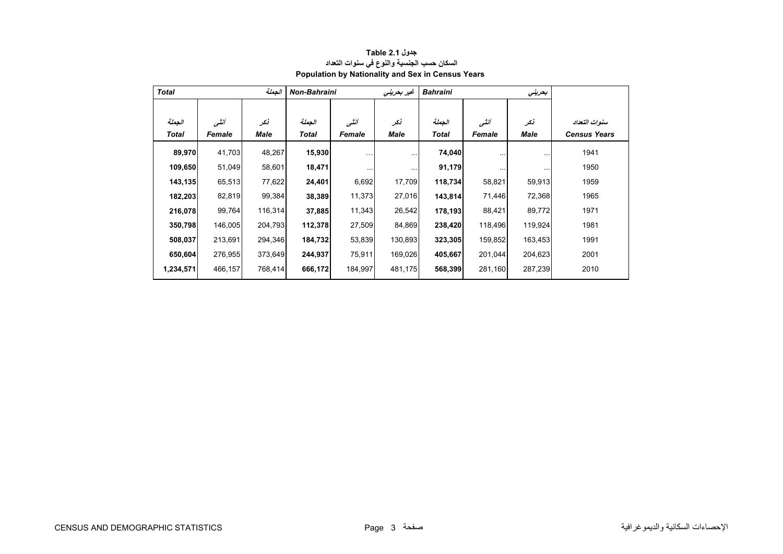<span id="page-1-0"></span>

| <b>Total</b> |         | الجملة  | <b>Non-Bahraini</b> |          | غير بحريني | <b>Bahraini</b> |          | بحريتي   |                     |
|--------------|---------|---------|---------------------|----------|------------|-----------------|----------|----------|---------------------|
|              |         |         |                     |          |            |                 |          |          |                     |
| الجملة       | أننسى   | نكر     | الجملة              | أنشى     | نكر        | الجفلة          | أنشى     | نكر      | سنوات التعداد       |
| <b>Total</b> | Female  | Male    | Total               | Female   | Male       | <b>Total</b>    | Female   | Male     | <b>Census Years</b> |
| 89,970       | 41,703  | 48,267  | 15,930              | $\cdots$ | $\cdots$   | 74,040          |          | $\cdots$ | 1941                |
| 109,650      | 51,049  | 58,601  | 18,471              | $\cdots$ | $\cdots$   | 91,179          | $\cdots$ | $\cdots$ | 1950                |
| 143,135      | 65,513  | 77,622  | 24,401              | 6,692    | 17,709     | 118,734         | 58,821   | 59,913   | 1959                |
| 182,203      | 82,819  | 99,384  | 38,389              | 11,373   | 27,016     | 143,814         | 71,446   | 72,368   | 1965                |
| 216,078      | 99,764  | 116,314 | 37,885              | 11,343   | 26,542     | 178,193         | 88,421   | 89,772   | 1971                |
| 350,798      | 146,005 | 204,793 | 112,378             | 27,509   | 84,869     | 238,420         | 118,496  | 119,924  | 1981                |
| 508,037      | 213,691 | 294,346 | 184,732             | 53,839   | 130,893    | 323,305         | 159,852  | 163,453  | 1991                |
| 650,604      | 276,955 | 373,649 | 244,937             | 75,911   | 169,026    | 405,667         | 201,044  | 204,623  | 2001                |
| 1,234,571    | 466,157 | 768,414 | 666,172             | 184,997  | 481,175    | 568,399         | 281,160  | 287,239  | 2010                |

## **جدول 2.1 Table السكان حسب الجنسية والنوع في سنوات التعداد Population by Nationality and Sex in Census Years**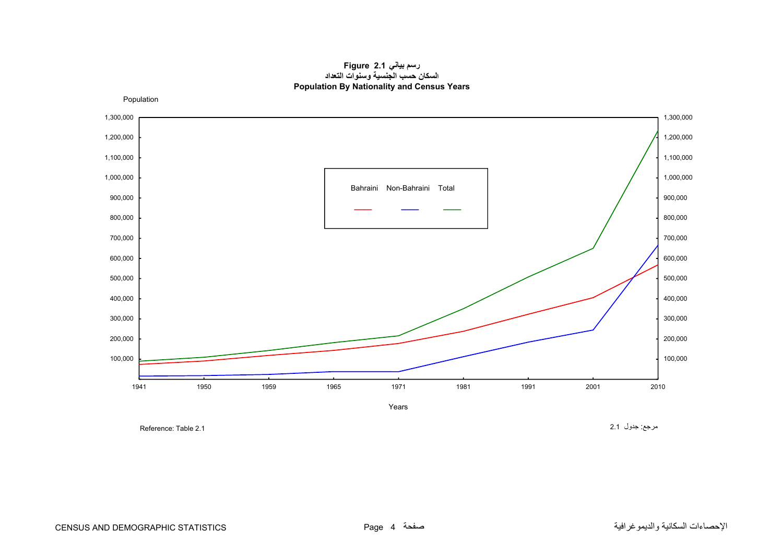## **رسم بياني 2.1 Figure السكان حسب الجنسية وسنوات التعداد Population By Nationality and Census Years**

<span id="page-2-0"></span>Population



Reference: Table 2.1

مرجع: جدول 2.1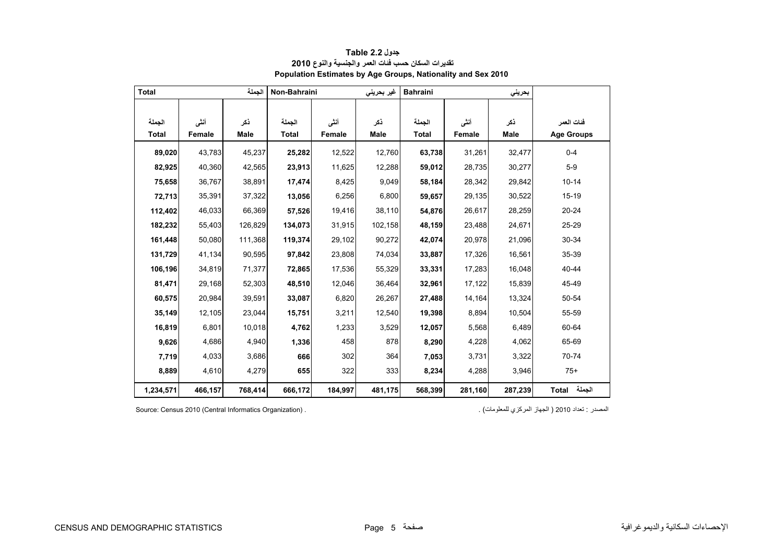<span id="page-3-0"></span>

| <b>Total</b>           |                | الحملة      | Non-Bahraini           |                | غیر بحرینی         | <b>Bahraini</b>        |                | بحرينى      |                                 |
|------------------------|----------------|-------------|------------------------|----------------|--------------------|------------------------|----------------|-------------|---------------------------------|
| الجملة<br><b>Total</b> | أنشى<br>Female | نكر<br>Male | الحملة<br><b>Total</b> | أنشى<br>Female | ذكر<br><b>Male</b> | الجملة<br><b>Total</b> | أنشى<br>Female | ذكر<br>Male | فئات العمر<br><b>Age Groups</b> |
| 89,020                 | 43,783         | 45,237      | 25,282                 | 12,522         | 12,760             | 63,738                 | 31,261         | 32,477      | $0 - 4$                         |
| 82,925                 | 40,360         | 42,565      | 23,913                 | 11,625         | 12,288             | 59,012                 | 28,735         | 30,277      | $5-9$                           |
| 75,658                 | 36,767         | 38,891      | 17,474                 | 8,425          | 9.049              | 58,184                 | 28,342         | 29,842      | $10 - 14$                       |
| 72,713                 | 35,391         | 37,322      | 13,056                 | 6,256          | 6.800              | 59,657                 | 29,135         | 30,522      | $15 - 19$                       |
| 112,402                | 46,033         | 66,369      | 57,526                 | 19,416         | 38,110             | 54,876                 | 26,617         | 28,259      | 20-24                           |
| 182,232                | 55,403         | 126,829     | 134,073                | 31,915         | 102,158            | 48,159                 | 23,488         | 24,671      | 25-29                           |
| 161,448                | 50,080         | 111,368     | 119,374                | 29,102         | 90,272             | 42,074                 | 20,978         | 21,096      | 30-34                           |
| 131,729                | 41,134         | 90,595      | 97,842                 | 23,808         | 74,034             | 33,887                 | 17,326         | 16,561      | 35-39                           |
| 106,196                | 34,819         | 71,377      | 72,865                 | 17,536         | 55,329             | 33,331                 | 17,283         | 16,048      | 40-44                           |
| 81,471                 | 29,168         | 52,303      | 48,510                 | 12,046         | 36,464             | 32,961                 | 17,122         | 15,839      | 45-49                           |
| 60,575                 | 20,984         | 39,591      | 33,087                 | 6,820          | 26,267             | 27,488                 | 14,164         | 13,324      | 50-54                           |
| 35,149                 | 12,105         | 23,044      | 15,751                 | 3,211          | 12,540             | 19,398                 | 8,894          | 10,504      | 55-59                           |
| 16,819                 | 6,801          | 10,018      | 4,762                  | 1,233          | 3,529              | 12,057                 | 5,568          | 6,489       | 60-64                           |
| 9,626                  | 4,686          | 4,940       | 1,336                  | 458            | 878                | 8,290                  | 4,228          | 4,062       | 65-69                           |
| 7,719                  | 4,033          | 3,686       | 666                    | 302            | 364                | 7,053                  | 3,731          | 3,322       | 70-74                           |
| 8,889                  | 4,610          | 4,279       | 655                    | 322            | 333                | 8,234                  | 4,288          | 3,946       | $75+$                           |
| 1,234,571              | 466,157        | 768,414     | 666,172                | 184,997        | 481,175            | 568,399                | 281,160        | 287,239     | الجملة Total                    |

**جدول 2.2 Table Population Estimates by Age Groups, Nationality and Sex 2010 تقديرات السكان حسب فئات العمر والجنسية والنوع<sup>2010</sup>**

المصدر : تعداد 2010 ( الجهاز المركزي للمعلومات) . . . (Source: Census 2010 (Central Informatics Organization)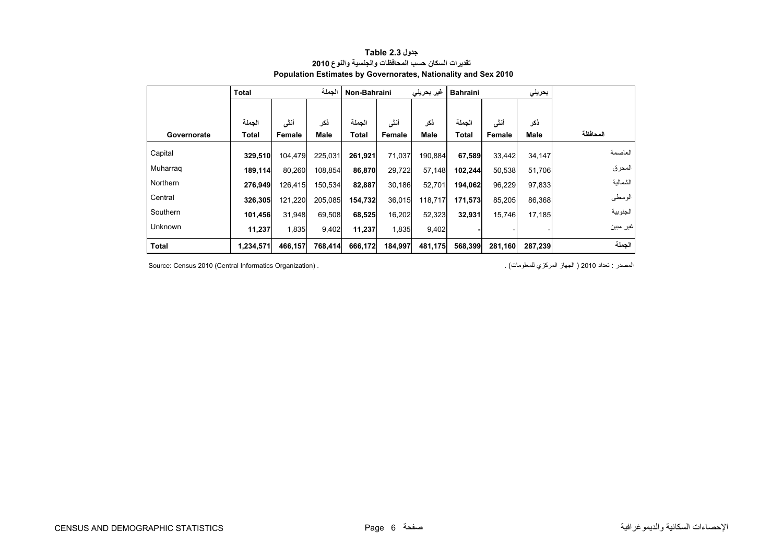<span id="page-4-0"></span>

|                | الجملة<br><b>Total</b> |         | غیر بحرینی<br>Non-Bahraini |              | بحرينى<br><b>Bahraini</b> |         |              |         |               |          |
|----------------|------------------------|---------|----------------------------|--------------|---------------------------|---------|--------------|---------|---------------|----------|
|                |                        |         |                            |              |                           |         |              |         |               |          |
|                | الحملة                 | أنشى    | ذكر                        | الجملة       | أنشى                      | ذكر     | الحملة       | أنشى    | ذكر           |          |
| Governorate    | Total                  | Female  | Male                       | <b>Total</b> | Female                    | Male    | <b>Total</b> | Female  | Male          | المحافظة |
| Capital        | 329,510                | 104,479 | 225,031                    | 261,921      | 71,037                    | 190,884 | 67,589       | 33,442  | 34.147        | العاصمة  |
| Muharrag       | 189,114                | 80,260  | 108,854                    | 86,870       | 29,722                    | 57,148  | 102,244      | 50,538  | 51,706        | المحرق   |
| Northern       | 276.949                | 126,415 | 150,534                    | 82,887       | 30,186                    | 52,701  | 194,062      | 96,229  | 97,833        | الشمالية |
| Central        | 326,305                | 121,220 | 205,085                    | 154,732      | 36,015                    | 118,717 | 171,573      | 85,205  | 86,368        | الوسطى   |
| Southern       | 101,456                | 31.948  | 69,508                     | 68,525       | 16,202                    | 52,323  | 32,931       | 15,746  | <b>17.185</b> | الجنوبية |
| <b>Unknown</b> | 11,237                 | 1,835   | 9,402                      | 11,237       | 1,835                     | 9,402   |              |         |               | غير مبين |
| <b>Total</b>   | 1,234,571              | 466,157 | 768,414                    | 666,172      | 184,997                   | 481,175 | 568,399      | 281,160 | 287,239       | الجملة   |

## **جدول 2.3 Table تقديرات السكان حسب المحافظات والجنسية والنوع <sup>2010</sup> Population Estimates by Governorates, Nationality and Sex 2010**

المصدر : تعداد 2010 ( الجهاز المركزي للمعلومات) . . . (Source: Census 2010 (Central Informatics Organization)